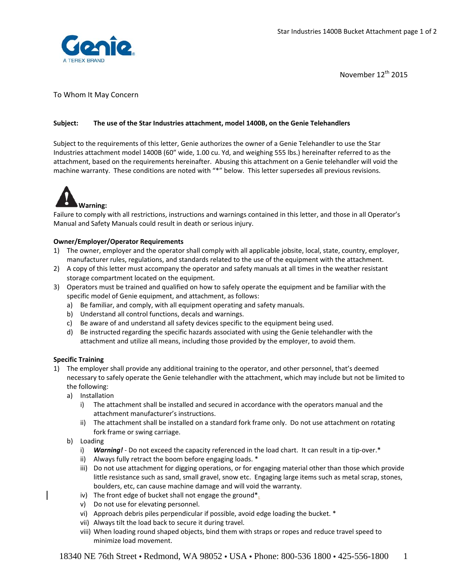

November 12<sup>th</sup> 2015

## To Whom It May Concern

### **Subject:** **The use of the Star Industries attachment, model 1400B, on the Genie Telehandlers**

Subject to the requirements of this letter, Genie authorizes the owner of a Genie Telehandler to use the Star Industries attachment model 1400B (60" wide, 1.00 cu. Yd, and weighing 555 lbs.) hereinafter referred to as the attachment, based on the requirements hereinafter. Abusing this attachment on a Genie telehandler will void the machine warranty. These conditions are noted with "\*" below. This letter supersedes all previous revisions.



Failure to comply with all restrictions, instructions and warnings contained in this letter, and those in all Operator's Manual and Safety Manuals could result in death or serious injury.

### **Owner/Employer/Operator Requirements**

- 1) The owner, employer and the operator shall comply with all applicable jobsite, local, state, country, employer, manufacturer rules, regulations, and standards related to the use of the equipment with the attachment.
- 2) A copy of this letter must accompany the operator and safety manuals at all times in the weather resistant storage compartment located on the equipment.
- 3) Operators must be trained and qualified on how to safely operate the equipment and be familiar with the specific model of Genie equipment, and attachment, as follows:
	- a) Be familiar, and comply, with all equipment operating and safety manuals.
	- b) Understand all control functions, decals and warnings.
	- c) Be aware of and understand all safety devices specific to the equipment being used.
	- d) Be instructed regarding the specific hazards associated with using the Genie telehandler with the attachment and utilize all means, including those provided by the employer, to avoid them.

#### **Specific Training**

- 1) The employer shall provide any additional training to the operator, and other personnel, that's deemed necessary to safely operate the Genie telehandler with the attachment, which may include but not be limited to the following:
	- a) Installation
		- i) The attachment shall be installed and secured in accordance with the operators manual and the attachment manufacturer's instructions.
		- ii) The attachment shall be installed on a standard fork frame only. Do not use attachment on rotating fork frame or swing carriage.
	- b) Loading
		- i) **Warning!** Do not exceed the capacity referenced in the load chart. It can result in a tip-over.\*
		- ii) Always fully retract the boom before engaging loads. \*
		- iii) Do not use attachment for digging operations, or for engaging material other than those which provide little resistance such as sand, small gravel, snow etc. Engaging large items such as metal scrap, stones, boulders, etc, can cause machine damage and will void the warranty.
		- iv) The front edge of bucket shall not engage the ground<sup>\*</sup>.
		- v) Do not use for elevating personnel.
		- vi) Approach debris piles perpendicular if possible, avoid edge loading the bucket. \*
		- vii) Always tilt the load back to secure it during travel.
		- viii) When loading round shaped objects, bind them with straps or ropes and reduce travel speed to minimize load movement.